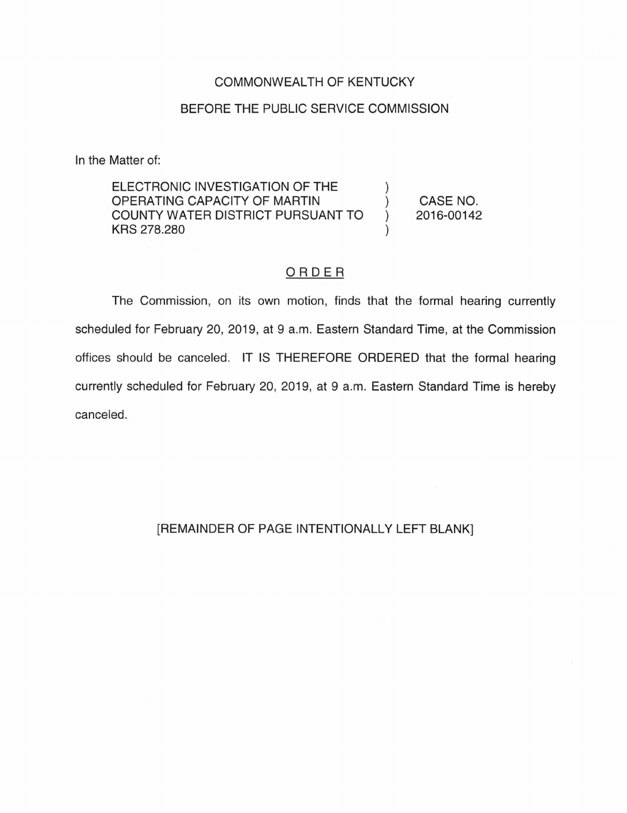## COMMONWEALTH OF KENTUCKY

## BEFORE THE PUBLIC SERVICE COMMISSION

In the Matter of:

ELECTRONIC INVESTIGATION OF THE OPERATING CAPACITY OF MARTIN COUNTY WATER DISTRICT PURSUANT TO KRS 278.280 CASE NO. 2016-00142

## ORDER

The Commission, on its own motion, finds that the formal hearing currently scheduled for February 20, 2019, at 9 a.m. Eastern Standard Time, at the Commission offices should be canceled. IT IS THEREFORE ORDERED that the formal hearing currently scheduled for February 20, 2019, at 9 a.m. Eastern Standard Time is hereby canceled.

## [REMAINDER OF PAGE INTENTIONALLY LEFT BLANK]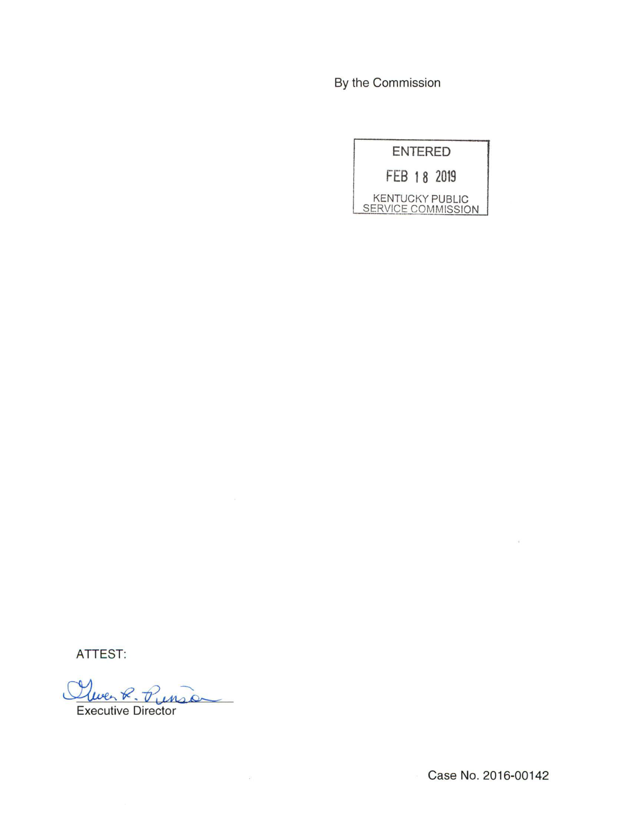By the Commission

| <b>ENTERED</b>                               |  |
|----------------------------------------------|--|
| FEB 18 2019                                  |  |
| <b>KENTUCKY PUBLIC</b><br>SERVICE COMMISSION |  |

ATTEST:

 $V_{1}$ 

Executive Director

Case No. 2016-00142

 $\sim$